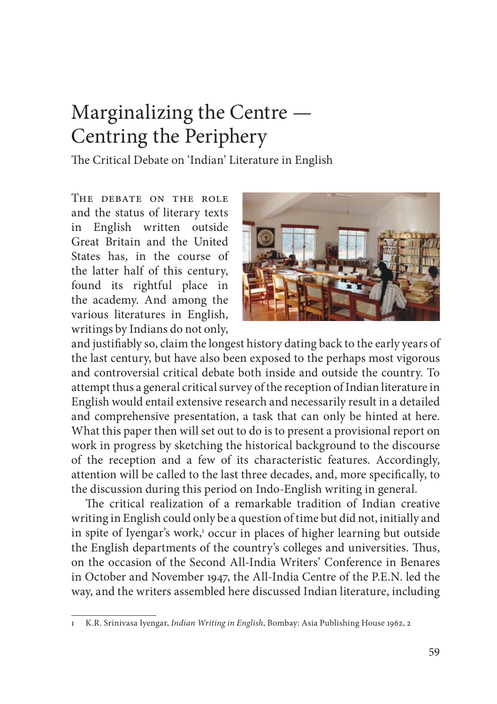# Marginalizing the Centre — Centring the Periphery

The Critical Debate on 'Indian' Literature in English

The debate on the role and the status of literary texts in English written outside Great Britain and the United States has, in the course of the latter half of this century, found its rightful place in the academy. And among the various literatures in English, writings by Indians do not only,



and justifiably so, claim the longest history dating back to the early years of the last century, but have also been exposed to the perhaps most vigorous and controversial critical debate both inside and outside the country. To attempt thus a general critical survey of the reception of Indian literature in English would entail extensive research and necessarily result in a detailed and comprehensive presentation, a task that can only be hinted at here. What this paper then will set out to do is to present a provisional report on work in progress by sketching the historical background to the discourse of the reception and a few of its characteristic features. Accordingly, attention will be called to the last three decades, and, more specifically, to the discussion during this period on Indo-English writing in general.

The critical realization of a remarkable tradition of Indian creative writing in English could only be a question of time but did not, initially and in spite of Iyengar's work,<sup>1</sup> occur in places of higher learning but outside the English departments of the country's colleges and universities. Thus, on the occasion of the Second All-India Writers' Conference in Benares in October and November 1947, the All-India Centre of the P.E.N. led the way, and the writers assembled here discussed Indian literature, including

<sup>1</sup> K.R. Srinivasa Iyengar, *Indian Writing in English*, Bombay: Asia Publishing House 1962, 2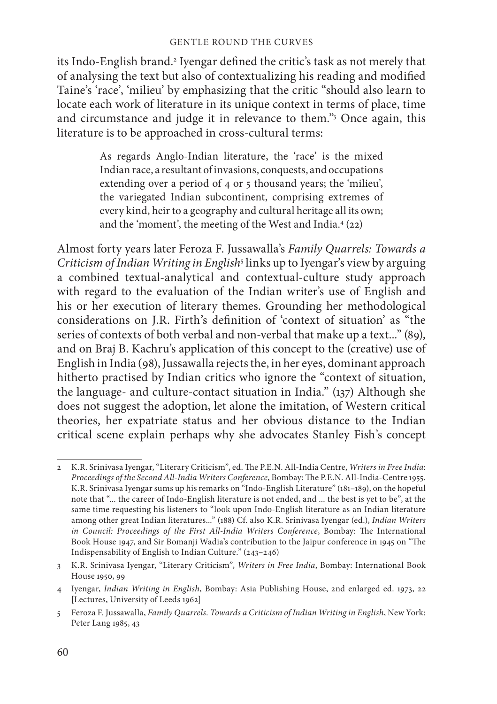### GENTLE ROUND THE CURVES

its Indo-English brand.<sup>2</sup> Iyengar defined the critic's task as not merely that of analysing the text but also of contextualizing his reading and modified Taine's 'race', 'milieu' by emphasizing that the critic "should also learn to locate each work of literature in its unique context in terms of place, time and circumstance and judge it in relevance to them."3 Once again, this literature is to be approached in cross-cultural terms:

> As regards Anglo-Indian literature, the 'race' is the mixed Indian race, a resultant of invasions, conquests, and occupations extending over a period of 4 or 5 thousand years; the 'milieu', the variegated Indian subcontinent, comprising extremes of every kind, heir to a geography and cultural heritage all its own; and the 'moment', the meeting of the West and India.4 (22)

Almost forty years later Feroza F. Jussawalla's *Family Quarrels: Towards a Criticism of Indian Writing in English*<sup>5</sup> links up to Iyengar's view by arguing a combined textual-analytical and contextual-culture study approach with regard to the evaluation of the Indian writer's use of English and his or her execution of literary themes. Grounding her methodological considerations on J.R. Firth's definition of 'context of situation' as "the series of contexts of both verbal and non-verbal that make up a text..." (89), and on Braj B. Kachru's application of this concept to the (creative) use of English in India (98), Jussawalla rejects the, in her eyes, dominant approach hitherto practised by Indian critics who ignore the "context of situation, the language- and culture-contact situation in India." (137) Although she does not suggest the adoption, let alone the imitation, of Western critical theories, her expatriate status and her obvious distance to the Indian critical scene explain perhaps why she advocates Stanley Fish's concept

<sup>2</sup> K.R. Srinivasa Iyengar, "Literary Criticism", ed. The P.E.N. All-India Centre, *Writers in Free India*: Proceedings of the Second All-India Writers Conference, Bombay: The P.E.N. All-India-Centre 1955. K.R. Srinivasa Iyengar sums up his remarks on "Indo-English Literature" (181–189), on the hopeful note that "... the career of Indo-English literature is not ended, and ... the best is yet to be", at the same time requesting his listeners to "look upon Indo-English literature as an Indian literature among other great Indian literatures..." (188) Cf. also K.R. Srinivasa Iyengar (ed.), *Indian Writers in Council: Proceedings of the First All-India Writers Conference*, Bombay: The International Book House 1947, and Sir Bomanji Wadia's contribution to the Jaipur conference in 1945 on "The Indispensability of English to Indian Culture." (243–246)

<sup>3</sup> K.R. Srinivasa Iyengar, "Literary Criticism", *Writers in Free India*, Bombay: International Book House 1950, 99

<sup>4</sup> Iyengar, *Indian Writing in English*, Bombay: Asia Publishing House, 2nd enlarged ed. 1973, 22 [Lectures, University of Leeds 1962]

<sup>5</sup> Feroza F. Jussawalla, *Family Quarrels. Towards a Criticism of Indian Writing in English*, New York: Peter Lang 1985, 43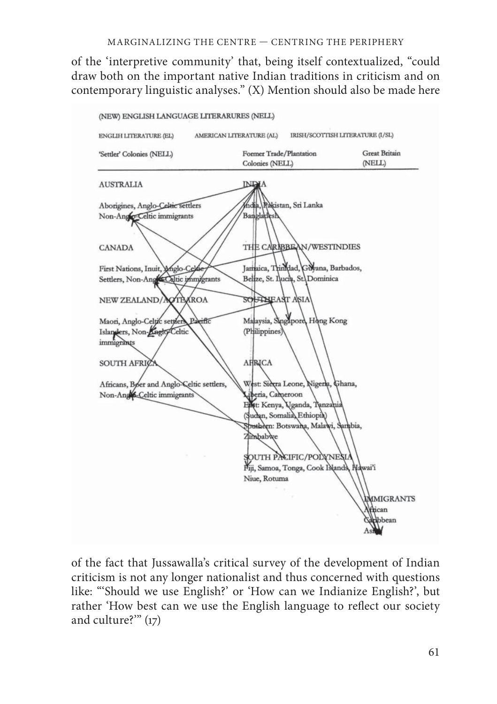of the 'interpretive community' that, being itself contextualized, "could draw both on the important native Indian traditions in criticism and on contemporary linguistic analyses." (X) Mention should also be made here



of the fact that Jussawalla's critical survey of the development of Indian criticism is not any longer nationalist and thus concerned with questions like: "'Should we use English?' or 'How can we Indianize English?', but rather 'How best can we use the English language to reflect our society and culture?'" (17)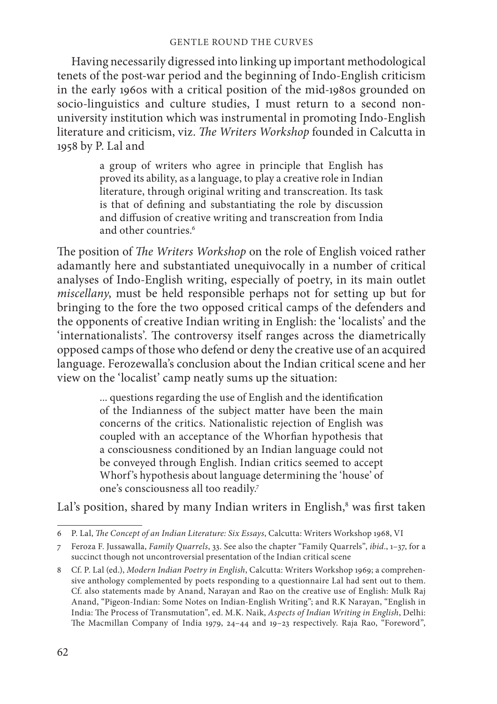### GENTLE ROUND THE CURVES

Having necessarily digressed into linking up important methodological tenets of the post-war period and the beginning of Indo-English criticism in the early 1960s with a critical position of the mid-1980s grounded on socio-linguistics and culture studies, I must return to a second nonuniversity institution which was instrumental in promoting Indo-English literature and criticism, viz. *The Writers Workshop* founded in Calcutta in 1958 by P. Lal and

> a group of writers who agree in principle that English has proved its ability, as a language, to play a creative role in Indian literature, through original writing and transcreation. Its task is that of defining and substantiating the role by discussion and diffusion of creative writing and transcreation from India and other countries.<sup>6</sup>

The position of *The Writers Workshop* on the role of English voiced rather adamantly here and substantiated unequivocally in a number of critical analyses of Indo-English writing, especially of poetry, in its main outlet *miscellany*, must be held responsible perhaps not for setting up but for bringing to the fore the two opposed critical camps of the defenders and the opponents of creative Indian writing in English: the 'localists' and the 'internationalists'. The controversy itself ranges across the diametrically opposed camps of those who defend or deny the creative use of an acquired language. Ferozewalla's conclusion about the Indian critical scene and her view on the 'localist' camp neatly sums up the situation:

> ... questions regarding the use of English and the identification of the Indianness of the subject matter have been the main concerns of the critics. Nationalistic rejection of English was coupled with an acceptance of the Whorfian hypothesis that a consciousness conditioned by an Indian language could not be conveyed through English. Indian critics seemed to accept Whorf's hypothesis about language determining the 'house' of one's consciousness all too readily.7

Lal's position, shared by many Indian writers in English,<sup>8</sup> was first taken

<sup>6</sup> P. Lal, *The Concept of an Indian Literature: Six Essays*, Calcutta: Writers Workshop 1968, VI

<sup>7</sup> Feroza F. Jussawalla, *Family Quarrels*, 33. See also the chapter "Family Quarrels", *ibid*., 1–37, for a succinct though not uncontroversial presentation of the Indian critical scene

<sup>8</sup> Cf. P. Lal (ed.), *Modern Indian Poetry in English*, Calcutta: Writers Workshop 1969; a comprehensive anthology complemented by poets responding to a questionnaire Lal had sent out to them. Cf. also statements made by Anand, Narayan and Rao on the creative use of English: Mulk Raj Anand, "Pigeon-Indian: Some Notes on Indian-English Writing"; and R.K Narayan, "English in India: The Process of Transmutation", ed. M.K. Naik, *Aspects of Indian Writing in English*, Delhi: The Macmillan Company of India 1979, 24-44 and 19-23 respectively. Raja Rao, "Foreword",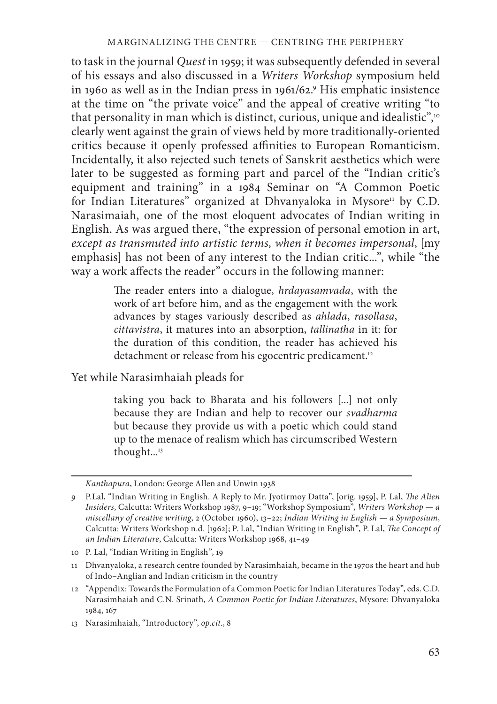to task in the journal *Quest* in 1959; it was subsequently defended in several of his essays and also discussed in a *Writers Workshop* symposium held in 1960 as well as in the Indian press in 1961/62.9 His emphatic insistence at the time on "the private voice" and the appeal of creative writing "to that personality in man which is distinct, curious, unique and idealistic",<sup>10</sup> clearly went against the grain of views held by more traditionally-oriented critics because it openly professed affinities to European Romanticism. Incidentally, it also rejected such tenets of Sanskrit aesthetics which were later to be suggested as forming part and parcel of the "Indian critic's equipment and training" in a 1984 Seminar on "A Common Poetic for Indian Literatures" organized at Dhvanyaloka in Mysore<sup>11</sup> by C.D. Narasimaiah, one of the most eloquent advocates of Indian writing in English. As was argued there, "the expression of personal emotion in art, *except as transmuted into artistic terms, when it becomes impersonal*, [my emphasis] has not been of any interest to the Indian critic...", while "the way a work affects the reader" occurs in the following manner:

> The reader enters into a dialogue, *hrdayasamvada*, with the work of art before him, and as the engagement with the work advances by stages variously described as *ahlada*, *rasollasa*, *cittavistra*, it matures into an absorption, *tallinatha* in it: for the duration of this condition, the reader has achieved his detachment or release from his egocentric predicament.<sup>12</sup>

Yet while Narasimhaiah pleads for

taking you back to Bharata and his followers [...] not only because they are Indian and help to recover our *svadharma* but because they provide us with a poetic which could stand up to the menace of realism which has circumscribed Western thought...<sup>13</sup>

*Kanthapura*, London: George Allen and Unwin 1938

<sup>9</sup> P.Lal, "Indian Writing in English. A Reply to Mr. Jyotirmoy Datta", [orig. 1959], P. Lal, *The Alien Insiders*, Calcutta: Writers Workshop 1987, 9–19; "Workshop Symposium", *Writers Workshop — a miscellany of creative writing*, 2 (October 1960), 13–22; *Indian Writing in English — a Symposium*, Calcutta: Writers Workshop n.d. [1962]; P. Lal, "Indian Writing in English", P. Lal, *The Concept of an Indian Literature*, Calcutta: Writers Workshop 1968, 41–49

<sup>10</sup> P. Lal, "Indian Writing in English", 19

<sup>11</sup> Dhvanyaloka, a research centre founded by Narasimhaiah, became in the 1970s the heart and hub of Indo–Anglian and Indian criticism in the country

<sup>12 &</sup>quot;Appendix: Towards the Formulation of a Common Poetic for Indian Literatures Today", eds. C.D. Narasimhaiah and C.N. Srinath, *A Common Poetic for Indian Literatures*, Mysore: Dhvanyaloka 1984, 167

<sup>13</sup> Narasimhaiah, "Introductory", *op.cit*., 8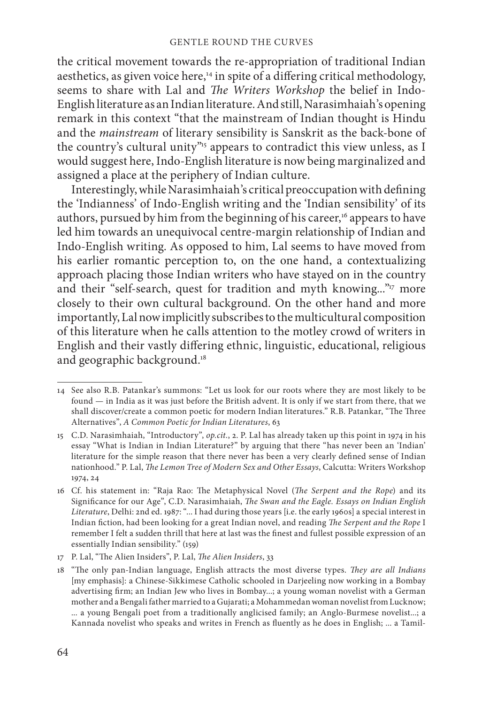the critical movement towards the re-appropriation of traditional Indian aesthetics, as given voice here, $14$  in spite of a differing critical methodology, seems to share with Lal and *The Writers Workshop* the belief in Indo-English literature as an Indian literature. And still, Narasimhaiah's opening remark in this context "that the mainstream of Indian thought is Hindu and the *mainstream* of literary sensibility is Sanskrit as the back-bone of the country's cultural unity"<sup>15</sup> appears to contradict this view unless, as I would suggest here, Indo-English literature is now being marginalized and assigned a place at the periphery of Indian culture.

Interestingly, while Narasimhaiah's critical preoccupation with defining the 'Indianness' of Indo-English writing and the 'Indian sensibility' of its authors, pursued by him from the beginning of his career,<sup>16</sup> appears to have led him towards an unequivocal centre-margin relationship of Indian and Indo-English writing. As opposed to him, Lal seems to have moved from his earlier romantic perception to, on the one hand, a contextualizing approach placing those Indian writers who have stayed on in the country and their "self-search, quest for tradition and myth knowing..."<sup>17</sup> more closely to their own cultural background. On the other hand and more importantly, Lal now implicitly subscribes to the multicultural composition of this literature when he calls attention to the motley crowd of writers in English and their vastly differing ethnic, linguistic, educational, religious and geographic background.<sup>18</sup>

<sup>14</sup> See also R.B. Patankar's summons: "Let us look for our roots where they are most likely to be found — in India as it was just before the British advent. It is only if we start from there, that we shall discover/create a common poetic for modern Indian literatures." R.B. Patankar, "The Three Alternatives", *A Common Poetic for Indian Literatures*, 63

<sup>15</sup> C.D. Narasimhaiah, "Introductory", *op.cit.*, 2. P. Lal has already taken up this point in 1974 in his essay "What is Indian in Indian Literature?" by arguing that there "has never been an 'Indian' literature for the simple reason that there never has been a very clearly defined sense of Indian nationhood." P. Lal, *The Lemon Tree of Modern Sex and Other Essays*, Calcutta: Writers Workshop 1974, 24

<sup>16</sup> Cf. his statement in: "Raja Rao: The Metaphysical Novel (*The Serpent and the Rope*) and its Significance for our Age", C.D. Narasimhaiah, *The Swan and the Eagle. Essays on Indian English Literature*, Delhi: 2nd ed. 1987: "... I had during those years [i.e. the early 1960s] a special interest in Indian fiction, had been looking for a great Indian novel, and reading *The Serpent and the Rope I* remember I felt a sudden thrill that here at last was the finest and fullest possible expression of an essentially Indian sensibility." (159)

<sup>17</sup> P. Lal, "The Alien Insiders", P. Lal, *The Alien Insiders*, 33

<sup>18 &</sup>quot;The only pan-Indian language, English attracts the most diverse types. *They are all Indians* [my emphasis]: a Chinese-Sikkimese Catholic schooled in Darjeeling now working in a Bombay advertising firm; an Indian Jew who lives in Bombay...; a young woman novelist with a German mother and a Bengali father married to a Gujarati; a Mohammedan woman novelist from Lucknow; ... a young Bengali poet from a traditionally anglicised family; an Anglo-Burmese novelist...; a Kannada novelist who speaks and writes in French as fluently as he does in English; ... a Tamil-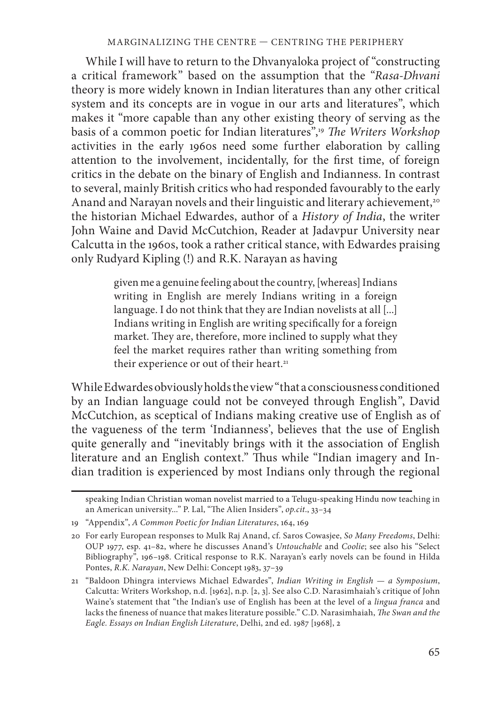While I will have to return to the Dhvanyaloka project of "constructing a critical framework" based on the assumption that the "*Rasa-Dhvani* theory is more widely known in Indian literatures than any other critical system and its concepts are in vogue in our arts and literatures", which makes it "more capable than any other existing theory of serving as the basis of a common poetic for Indian literatures",<sup>19</sup> The Writers Workshop activities in the early 1960s need some further elaboration by calling attention to the involvement, incidentally, for the first time, of foreign critics in the debate on the binary of English and Indianness. In contrast to several, mainly British critics who had responded favourably to the early Anand and Narayan novels and their linguistic and literary achievement,<sup>20</sup> the historian Michael Edwardes, author of a *History of India*, the writer John Waine and David McCutchion, Reader at Jadavpur University near Calcutta in the 1960s, took a rather critical stance, with Edwardes praising only Rudyard Kipling (!) and R.K. Narayan as having

> given me a genuine feeling about the country, [whereas] Indians writing in English are merely Indians writing in a foreign language. I do not think that they are Indian novelists at all [...] Indians writing in English are writing specifically for a foreign market. They are, therefore, more inclined to supply what they feel the market requires rather than writing something from their experience or out of their heart.<sup>21</sup>

While Edwardes obviously holds the view "that a consciousness conditioned by an Indian language could not be conveyed through English", David McCutchion, as sceptical of Indians making creative use of English as of the vagueness of the term 'Indianness', believes that the use of English quite generally and "inevitably brings with it the association of English literature and an English context." Thus while "Indian imagery and Indian tradition is experienced by most Indians only through the regional

speaking Indian Christian woman novelist married to a Telugu-speaking Hindu now teaching in an American university..." P. Lal, "The Alien Insiders", op.cit., 33-34

<sup>19 &</sup>quot;Appendix", *A Common Poetic for Indian Literatures*, 164, 169

<sup>20</sup> For early European responses to Mulk Raj Anand, cf. Saros Cowasjee, *So Many Freedoms*, Delhi: OUP 1977, esp. 41–82, where he discusses Anand's *Untouchable* and *Coolie*; see also his "Select Bibliography", 196–198. Critical response to R.K. Narayan's early novels can be found in Hilda Pontes, *R.K. Narayan*, New Delhi: Concept 1983, 37–39

<sup>21 &</sup>quot;Baldoon Dhingra interviews Michael Edwardes", *Indian Writing in English — a Symposium*, Calcutta: Writers Workshop, n.d. [1962], n.p. [2, 3]. See also C.D. Narasimhaiah's critique of John Waine's statement that "the Indian's use of English has been at the level of a *lingua franca* and lacks the fineness of nuance that makes literature possible." C.D. Narasimhaiah, *The Swan and the Eagle. Essays on Indian English Literature*, Delhi, 2nd ed. 1987 [1968], 2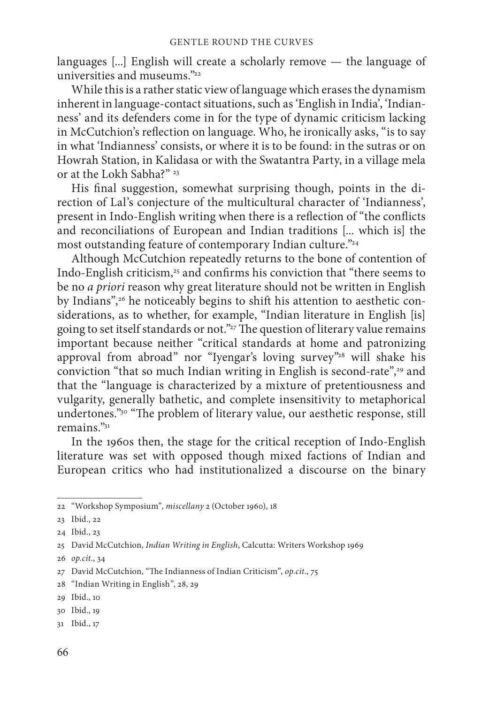languages [...] English will create a scholarly remove — the language of universities and museums<sup>322</sup>

While this is a rather static view of language which erases the dynamism inherent in language-contact situations, such as 'English in India', 'Indianness' and its defenders come in for the type of dynamic criticism lacking in McCutchion's reflection on language. Who, he ironically asks, "is to say in what 'Indianness' consists, or where it is to be found: in the sutras or on Howrah Station, in Kalidasa or with the Swatantra Party, in a village mela or at the Lokh Sabha?" <sup>23</sup>

His final suggestion, somewhat surprising though, points in the direction of Lal's conjecture of the multicultural character of 'Indianness', present in Indo-English writing when there is a reflection of "the conflicts" and reconciliations of European and Indian traditions [... which is] the most outstanding feature of contemporary Indian culture."<sup>24</sup>

Although McCutchion repeatedly returns to the bone of contention of Indo-English criticism,<sup>25</sup> and confirms his conviction that "there seems to be no *a priori* reason why great literature should not be written in English by Indians",<sup>26</sup> he noticeably begins to shift his attention to aesthetic considerations, as to whether, for example, "Indian literature in English [is] going to set itself standards or not." $27$  The question of literary value remains important because neither "critical standards at home and patronizing approval from abroad" nor "Iyengar's loving survey"<sup>28</sup> will shake his conviction "that so much Indian writing in English is second-rate",<sup>29</sup> and that the "language is characterized by a mixture of pretentiousness and vulgarity, generally bathetic, and complete insensitivity to metaphorical undertones."<sup>30</sup> "The problem of literary value, our aesthetic response, still remains."31

In the 1960s then, the stage for the critical reception of Indo-English literature was set with opposed though mixed factions of Indian and European critics who had institutionalized a discourse on the binary

<sup>22 &</sup>quot;Workshop Symposium", *miscellany* 2 (October 1960), 18

<sup>23</sup> Ibid., 22

<sup>24</sup> Ibid., 23

<sup>25</sup> David McCutchion, *Indian Writing in English*, Calcutta: Writers Workshop 1969

<sup>26</sup> *op.cit*., 34

<sup>27</sup> David McCutchion, "The Indianness of Indian Criticism", op.cit., 75

<sup>28 &</sup>quot;Indian Writing in English", 28, 29

<sup>29</sup> Ibid., 10

<sup>30</sup> Ibid., 19

<sup>31</sup> Ibid., 17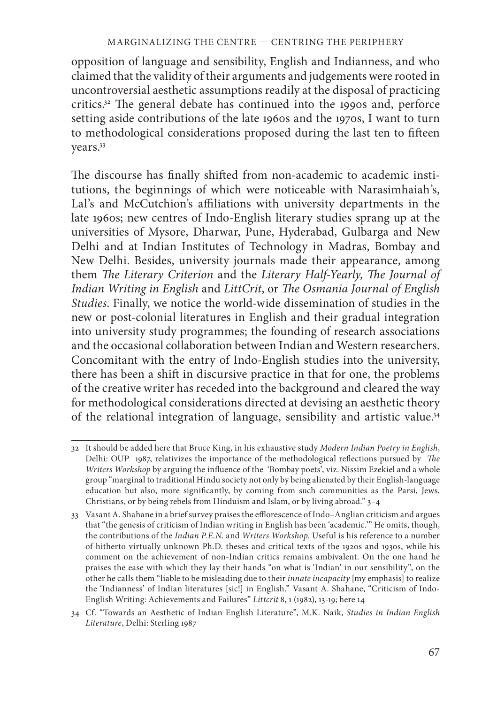opposition of language and sensibility, English and Indianness, and who claimed that the validity of their arguments and judgements were rooted in uncontroversial aesthetic assumptions readily at the disposal of practicing critics.<sup>32</sup> The general debate has continued into the 1990s and, perforce setting aside contributions of the late 1960s and the 1970s, I want to turn to methodological considerations proposed during the last ten to fifteen years.33

The discourse has finally shifted from non-academic to academic institutions, the beginnings of which were noticeable with Narasimhaiah's, Lal's and McCutchion's affiliations with university departments in the late 1960s; new centres of Indo-English literary studies sprang up at the universities of Mysore, Dharwar, Pune, Hyderabad, Gulbarga and New Delhi and at Indian Institutes of Technology in Madras, Bombay and New Delhi. Besides, university journals made their appearance, among them *The Literary Criterion* and the *Literary Half-Yearly*, *The Journal of Indian Writing in English and LittCrit*, or *The Osmania Journal of English Studies*. Finally, we notice the world-wide dissemination of studies in the new or post-colonial literatures in English and their gradual integration into university study programmes; the founding of research associations and the occasional collaboration between Indian and Western researchers. Concomitant with the entry of Indo-English studies into the university, there has been a shift in discursive practice in that for one, the problems of the creative writer has receded into the background and cleared the way for methodological considerations directed at devising an aesthetic theory of the relational integration of language, sensibility and artistic value.34

<sup>32</sup> It should be added here that Bruce King, in his exhaustive study *Modern Indian Poetry in English*, Delhi: OUP 1987, relativizes the importance of the methodological reflections pursued by *The Writers Workshop* by arguing the influence of the 'Bombay poets', viz. Nissim Ezekiel and a whole group "marginal to traditional Hindu society not only by being alienated by their English-language education but also, more significantly, by coming from such communities as the Parsi, Jews, Christians, or by being rebels from Hinduism and Islam, or by living abroad." 3–4

<sup>33</sup> Vasant A. Shahane in a brief survey praises the efflorescence of Indo–Anglian criticism and argues that "the genesis of criticism of Indian writing in English has been 'academic.'" He omits, though, the contributions of the *Indian P.E.N*. and *Writers Workshop*. Useful is his reference to a number of hitherto virtually unknown Ph.D. theses and critical texts of the 1920s and 1930s, while his comment on the achievement of non-Indian critics remains ambivalent. On the one hand he praises the ease with which they lay their hands "on what is 'Indian' in our sensibility", on the other he calls them "liable to be misleading due to their *innate incapacity* [my emphasis] to realize the 'Indianness' of Indian literatures [sic!] in English." Vasant A. Shahane, "Criticism of Indo-English Writing: Achievements and Failures" *Littcrit* 8, 1 (1982), 13-19; here 14

<sup>34</sup> Cf. "Towards an Aesthetic of Indian English Literature", M.K. Naik, *Studies in Indian English Literature*, Delhi: Sterling 1987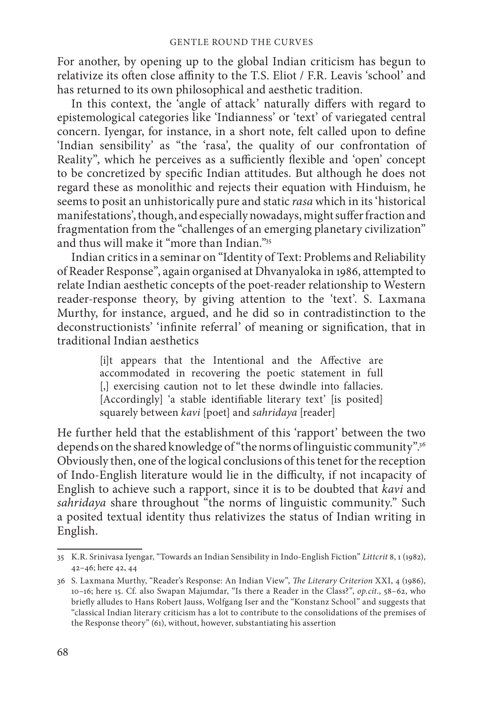For another, by opening up to the global Indian criticism has begun to relativize its often close affinity to the T.S. Eliot / F.R. Leavis 'school' and has returned to its own philosophical and aesthetic tradition.

In this context, the 'angle of attack' naturally differs with regard to epistemological categories like 'Indianness' or 'text' of variegated central concern. Iyengar, for instance, in a short note, felt called upon to define 'Indian sensibility' as "the 'rasa', the quality of our confrontation of Reality", which he perceives as a sufficiently flexible and 'open' concept to be concretized by specific Indian attitudes. But although he does not regard these as monolithic and rejects their equation with Hinduism, he seems to posit an unhistorically pure and static *rasa* which in its 'historical manifestations', though, and especially nowadays, might suffer fraction and fragmentation from the "challenges of an emerging planetary civilization" and thus will make it "more than Indian."35

Indian critics in a seminar on "Identity of Text: Problems and Reliability of Reader Response", again organised at Dhvanyaloka in 1986, attempted to relate Indian aesthetic concepts of the poet-reader relationship to Western reader-response theory, by giving attention to the 'text'. S. Laxmana Murthy, for instance, argued, and he did so in contradistinction to the deconstructionists' 'infinite referral' of meaning or signification, that in traditional Indian aesthetics

> [i]t appears that the Intentional and the Affective are accommodated in recovering the poetic statement in full [,] exercising caution not to let these dwindle into fallacies. [Accordingly] 'a stable identifiable literary text' [is posited] squarely between *kavi* [poet] and *sahridaya* [reader]

He further held that the establishment of this 'rapport' between the two depends on the shared knowledge of "the norms of linguistic community".<sup>36</sup> Obviously then, one of the logical conclusions of this tenet for the reception of Indo-English literature would lie in the difficulty, if not incapacity of English to achieve such a rapport, since it is to be doubted that *kavi* and *sahridaya* share throughout "the norms of linguistic community." Such a posited textual identity thus relativizes the status of Indian writing in English.

<sup>35</sup> K.R. Srinivasa Iyengar, "Towards an Indian Sensibility in Indo-English Fiction" *Littcrit* 8, 1 (1982), 42–46; here 42, 44

<sup>36</sup> S. Laxmana Murthy, "Reader's Response: An Indian View", *Th e Literary Criterion* XXI, 4 (1986), 10–16; here 15. Cf. also Swapan Majumdar, "Is there a Reader in the Class?", *op.cit*., 58–62, who briefly alludes to Hans Robert Jauss, Wolfgang Iser and the "Konstanz School" and suggests that "classical Indian literary criticism has a lot to contribute to the consolidations of the premises of the Response theory" (61), without, however, substantiating his assertion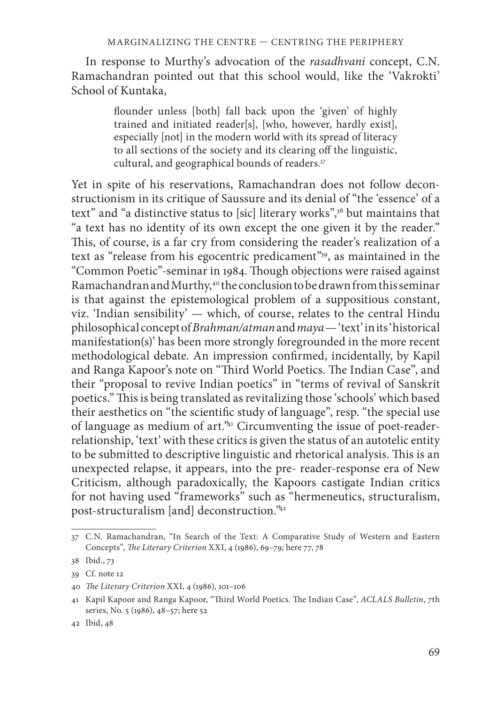In response to Murthy's advocation of the *rasadhvani* concept, C.N. Ramachandran pointed out that this school would, like the 'Vakrokti' School of Kuntaka,

> flounder unless [both] fall back upon the 'given' of highly trained and initiated reader[s], [who, however, hardly exist], especially [not] in the modern world with its spread of literacy to all sections of the society and its clearing off the linguistic, cultural, and geographical bounds of readers.37

Yet in spite of his reservations, Ramachandran does not follow deconstructionism in its critique of Saussure and its denial of "the 'essence' of a text" and "a distinctive status to [sic] literary works",38 but maintains that "a text has no identity of its own except the one given it by the reader." This, of course, is a far cry from considering the reader's realization of a text as "release from his egocentric predicament"39, as maintained in the "Common Poetic"-seminar in 1984. Though objections were raised against Ramachandran and Murthy,<sup>40</sup> the conclusion to be drawn from this seminar is that against the epistemological problem of a suppositious constant, viz. 'Indian sensibility' — which, of course, relates to the central Hindu philosophical concept of *Brahman/atman* and *maya* — 'text' in its 'historical manifestation(s)' has been more strongly foregrounded in the more recent methodological debate. An impression confirmed, incidentally, by Kapil and Ranga Kapoor's note on "Third World Poetics. The Indian Case", and their "proposal to revive Indian poetics" in "terms of revival of Sanskrit poetics." This is being translated as revitalizing those 'schools' which based their aesthetics on "the scientific study of language", resp. "the special use of language as medium of art."41 Circumventing the issue of poet-readerrelationship, 'text' with these critics is given the status of an autotelic entity to be submitted to descriptive linguistic and rhetorical analysis. This is an unexpected relapse, it appears, into the pre- reader-response era of New Criticism, although paradoxically, the Kapoors castigate Indian critics for not having used "frameworks" such as "hermeneutics, structuralism, post-structuralism [and] deconstruction."42

<sup>37</sup> C.N. Ramachandran, "In Search of the Text: A Comparative Study of Western and Eastern Concepts", *The Literary Criterion XXI*, 4 (1986), 69-79; here 77, 78

<sup>38</sup> Ibid., 73

<sup>39</sup> Cf. note 12

<sup>40</sup> *The Literary Criterion XXI*, 4 (1986), 101-106

<sup>41</sup> Kapil Kapoor and Ranga Kapoor, "Third World Poetics. The Indian Case", *ACLALS Bulletin*, 7th series, No. 5 (1986), 48–57; here 52

<sup>42</sup> Ibid, 48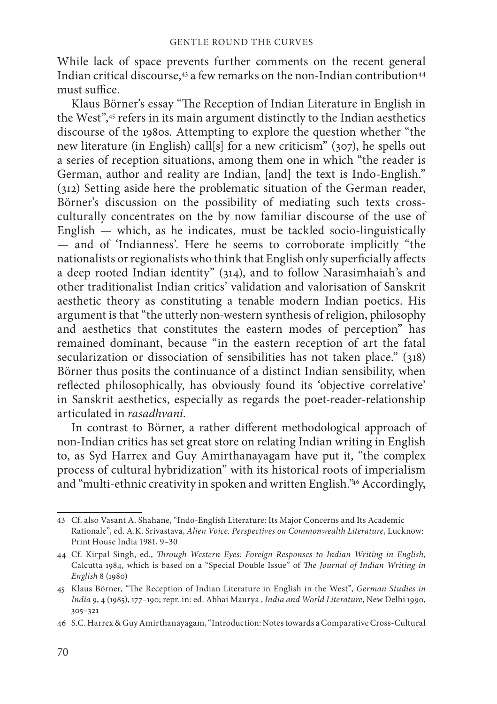While lack of space prevents further comments on the recent general Indian critical discourse, $43$  a few remarks on the non-Indian contribution $44$ must suffice.

Klaus Börner's essay "The Reception of Indian Literature in English in the West",45 refers in its main argument distinctly to the Indian aesthetics discourse of the 1980s. Attempting to explore the question whether "the new literature (in English) call[s] for a new criticism" (307), he spells out a series of reception situations, among them one in which "the reader is German, author and reality are Indian, [and] the text is Indo-English." (312) Setting aside here the problematic situation of the German reader, Börner's discussion on the possibility of mediating such texts crossculturally concentrates on the by now familiar discourse of the use of English — which, as he indicates, must be tackled socio-linguistically — and of 'Indianness'. Here he seems to corroborate implicitly "the nationalists or regionalists who think that English only superficially affects a deep rooted Indian identity" (314), and to follow Narasimhaiah's and other traditionalist Indian critics' validation and valorisation of Sanskrit aesthetic theory as constituting a tenable modern Indian poetics. His argument is that "the utterly non-western synthesis of religion, philosophy and aesthetics that constitutes the eastern modes of perception" has remained dominant, because "in the eastern reception of art the fatal secularization or dissociation of sensibilities has not taken place." (318) Börner thus posits the continuance of a distinct Indian sensibility, when reflected philosophically, has obviously found its 'objective correlative' in Sanskrit aesthetics, especially as regards the poet-reader-relationship articulated in *rasadhvani*.

In contrast to Börner, a rather different methodological approach of non-Indian critics has set great store on relating Indian writing in English to, as Syd Harrex and Guy Amirthanayagam have put it, "the complex process of cultural hybridization" with its historical roots of imperialism and "multi-ethnic creativity in spoken and written English."46 Accordingly,

<sup>43</sup> Cf. also Vasant A. Shahane, "Indo-English Literature: Its Major Concerns and Its Academic Rationale", ed. A.K. Srivastava, *Alien Voice. Perspectives on Commonwealth Literature*, Lucknow: Print House India 1981, 9–30

<sup>44</sup> Cf. Kirpal Singh, ed., *Th rough Western Eyes: Foreign Responses to Indian Writing in English*, Calcutta 1984, which is based on a "Special Double Issue" of *The Journal of Indian Writing in English* 8 (1980)

<sup>45</sup> Klaus Börner, "The Reception of Indian Literature in English in the West", *German Studies in India* 9, 4 (1985), 177–190; repr. in: ed. Abhai Maurya , *India and World Literature*, New Delhi 1990, 305–321

<sup>46</sup> S.C. Harrex & Guy Amirthanayagam, "Introduction: Notes towards a Comparative Cross-Cultural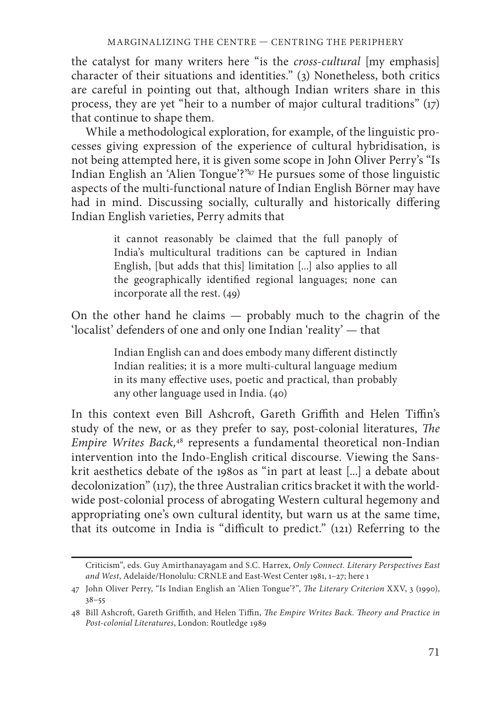the catalyst for many writers here "is the *cross-cultural* [my emphasis] character of their situations and identities." (3) Nonetheless, both critics are careful in pointing out that, although Indian writers share in this process, they are yet "heir to a number of major cultural traditions" (17) that continue to shape them.

While a methodological exploration, for example, of the linguistic processes giving expression of the experience of cultural hybridisation, is not being attempted here, it is given some scope in John Oliver Perry's "Is Indian English an 'Alien Tongue'?"47 He pursues some of those linguistic aspects of the multi-functional nature of Indian English Börner may have had in mind. Discussing socially, culturally and historically differing Indian English varieties, Perry admits that

> it cannot reasonably be claimed that the full panoply of India's multicultural traditions can be captured in Indian English, [but adds that this] limitation [...] also applies to all the geographically identified regional languages; none can incorporate all the rest. (49)

On the other hand he claims — probably much to the chagrin of the 'localist' defenders of one and only one Indian 'reality' — that

> Indian English can and does embody many different distinctly Indian realities; it is a more multi-cultural language medium in its many effective uses, poetic and practical, than probably any other language used in India. (40)

In this context even Bill Ashcroft, Gareth Griffith and Helen Tiffin's study of the new, or as they prefer to say, post-colonial literatures, The *Empire Writes Back,*<sup>48</sup> represents a fundamental theoretical non-Indian intervention into the Indo-English critical discourse. Viewing the Sanskrit aesthetics debate of the 1980s as "in part at least [...] a debate about decolonization" (117), the three Australian critics bracket it with the worldwide post-colonial process of abrogating Western cultural hegemony and appropriating one's own cultural identity, but warn us at the same time, that its outcome in India is "difficult to predict." (121) Referring to the

Criticism", eds. Guy Amirthanayagam and S.C. Harrex, *Only Connect. Literary Perspectives East and West*, Adelaide/Honolulu: CRNLE and East-West Center 1981, 1–27; here 1

<sup>47</sup> John Oliver Perry, "Is Indian English an 'Alien Tongue'?", *The Literary Criterion* XXV, 3 (1990), 38–55

<sup>48</sup> Bill Ashcroft, Gareth Griffith, and Helen Tiffin, *The Empire Writes Back. Theory and Practice in Post-colonial Literatures*, London: Routledge 1989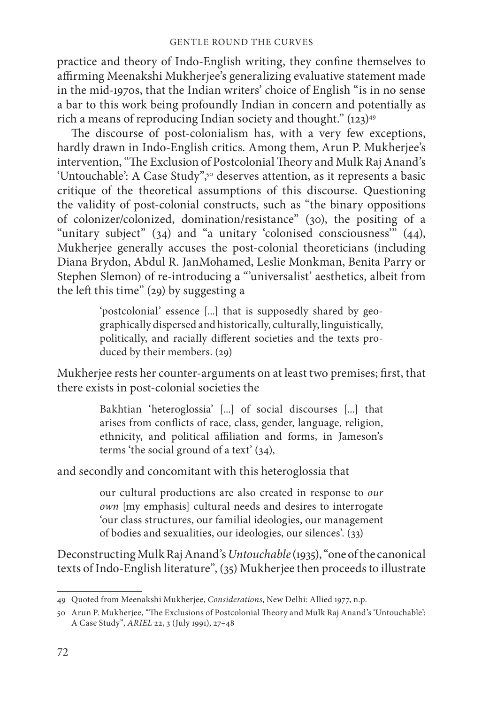practice and theory of Indo-English writing, they confine themselves to affirming Meenakshi Mukherjee's generalizing evaluative statement made in the mid-1970s, that the Indian writers' choice of English "is in no sense a bar to this work being profoundly Indian in concern and potentially as rich a means of reproducing Indian society and thought."  $(123)^{49}$ 

The discourse of post-colonialism has, with a very few exceptions, hardly drawn in Indo-English critics. Among them, Arun P. Mukherjee's intervention, "The Exclusion of Postcolonial Theory and Mulk Raj Anand's 'Untouchable': A Case Study",<sup>50</sup> deserves attention, as it represents a basic critique of the theoretical assumptions of this discourse. Questioning the validity of post-colonial constructs, such as "the binary oppositions of colonizer/colonized, domination/resistance" (30), the positing of a "unitary subject" (34) and "a unitary 'colonised consciousness" (44), Mukherjee generally accuses the post-colonial theoreticians (including Diana Brydon, Abdul R. JanMohamed, Leslie Monkman, Benita Parry or Stephen Slemon) of re-introducing a "'universalist' aesthetics, albeit from the left this time" (29) by suggesting a

> 'postcolonial' essence [...] that is supposedly shared by geographically dispersed and historically, culturally, linguistically, politically, and racially different societies and the texts produced by their members. (29)

Mukherjee rests her counter-arguments on at least two premises; first, that there exists in post-colonial societies the

> Bakhtian 'heteroglossia' [...] of social discourses [...] that arises from conflicts of race, class, gender, language, religion, ethnicity, and political affiliation and forms, in Jameson's terms 'the social ground of a text' (34),

and secondly and concomitant with this heteroglossia that

our cultural productions are also created in response to *our own* [my emphasis] cultural needs and desires to interrogate 'our class structures, our familial ideologies, our management of bodies and sexualities, our ideologies, our silences'. (33)

Deconstructing Mulk Raj Anand's *Untouchable* (1935), "one of the canonical texts of Indo-English literature", (35) Mukherjee then proceeds to illustrate

<sup>49</sup> Quoted from Meenakshi Mukherjee, *Considerations*, New Delhi: Allied 1977, n.p.

<sup>50</sup> Arun P. Mukherjee, "The Exclusions of Postcolonial Theory and Mulk Raj Anand's 'Untouchable': A Case Study", *ARIEL* 22, 3 (July 1991), 27–48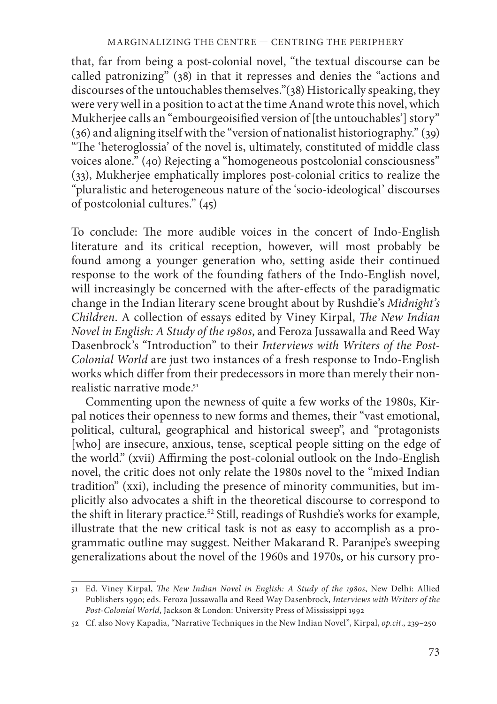that, far from being a post-colonial novel, "the textual discourse can be called patronizing"  $(38)$  in that it represses and denies the "actions and discourses of the untouchables themselves."(38) Historically speaking, they were very well in a position to act at the time Anand wrote this novel, which Mukherjee calls an "embourgeoisified version of [the untouchables'] story" (36) and aligning itself with the "version of nationalist historiography." (39) "The 'heteroglossia' of the novel is, ultimately, constituted of middle class voices alone." (40) Rejecting a "homogeneous postcolonial consciousness" (33), Mukherjee emphatically implores post-colonial critics to realize the "pluralistic and heterogeneous nature of the 'socio-ideological' discourses of postcolonial cultures." (45)

To conclude: The more audible voices in the concert of Indo-English literature and its critical reception, however, will most probably be found among a younger generation who, setting aside their continued response to the work of the founding fathers of the Indo-English novel, will increasingly be concerned with the after-effects of the paradigmatic change in the Indian literary scene brought about by Rushdie's *Midnight's Children. A collection of essays edited by Viney Kirpal, The New Indian Novel in English: A Study of the 1980s*, and Feroza Jussawalla and Reed Way Dasenbrock's "Introduction" to their *Interviews with Writers of the Post-Colonial World* are just two instances of a fresh response to Indo-English works which differ from their predecessors in more than merely their nonrealistic narrative mode.<sup>51</sup>

Commenting upon the newness of quite a few works of the 1980s, Kirpal notices their openness to new forms and themes, their "vast emotional, political, cultural, geographical and historical sweep", and "protagonists [who] are insecure, anxious, tense, sceptical people sitting on the edge of the world." (xvii) Affirming the post-colonial outlook on the Indo-English novel, the critic does not only relate the 1980s novel to the "mixed Indian tradition" (xxi), including the presence of minority communities, but implicitly also advocates a shift in the theoretical discourse to correspond to the shift in literary practice.<sup>52</sup> Still, readings of Rushdie's works for example, illustrate that the new critical task is not as easy to accomplish as a programmatic outline may suggest. Neither Makarand R. Paranjpe's sweeping generalizations about the novel of the 1960s and 1970s, or his cursory pro-

<sup>51</sup> Ed. Viney Kirpal, *The New Indian Novel in English: A Study of the 1980s*, New Delhi: Allied Publishers 1990; eds. Feroza Jussawalla and Reed Way Dasenbrock, *Interviews with Writers of the Post-Colonial World*, Jackson & London: University Press of Mississippi 1992

<sup>52</sup> Cf. also Novy Kapadia, "Narrative Techniques in the New Indian Novel", Kirpal, *op.cit*., 239–250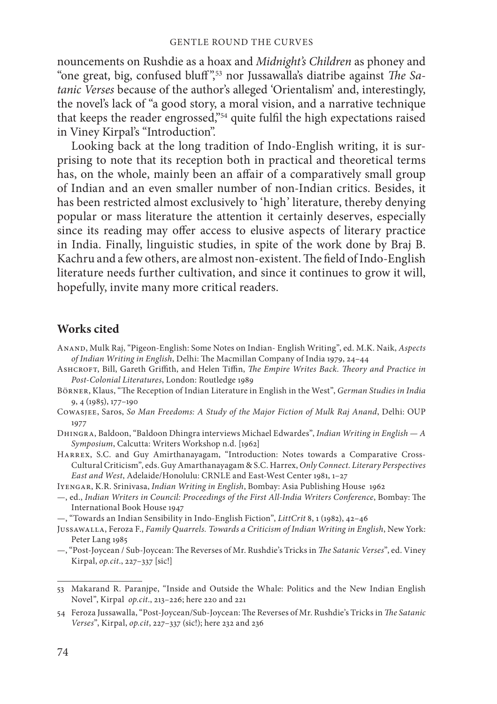nouncements on Rushdie as a hoax and *Midnight's Children* as phoney and "one great, big, confused bluff<sup>",53</sup> nor Jussawalla's diatribe against *The Satanic Verses* because of the author's alleged 'Orientalism' and, interestingly, the novel's lack of "a good story, a moral vision, and a narrative technique that keeps the reader engrossed,"<sup>54</sup> quite fulfil the high expectations raised in Viney Kirpal's "Introduction".

Looking back at the long tradition of Indo-English writing, it is surprising to note that its reception both in practical and theoretical terms has, on the whole, mainly been an affair of a comparatively small group of Indian and an even smaller number of non-Indian critics. Besides, it has been restricted almost exclusively to 'high' literature, thereby denying popular or mass literature the attention it certainly deserves, especially since its reading may offer access to elusive aspects of literary practice in India. Finally, linguistic studies, in spite of the work done by Braj B. Kachru and a few others, are almost non-existent. The field of Indo-English literature needs further cultivation, and since it continues to grow it will, hopefully, invite many more critical readers.

## **Works cited**

Anand, Mulk Raj, "Pigeon-English: Some Notes on Indian- English Writing", ed. M.K. Naik, *Aspects of Indian Writing in English*, Delhi: The Macmillan Company of India 1979, 24-44

ASHCROFT, Bill, Gareth Griffith, and Helen Tiffin, *The Empire Writes Back. Theory and Practice in Post-Colonial Literatures*, London: Routledge 1989

- Börner, Klaus, "The Reception of Indian Literature in English in the West", *German Studies in India* 9, 4 (1985), 177–190
- Cowasjee, Saros, *So Man Freedoms: A Study of the Major Fiction of Mulk Raj Anand*, Delhi: OUP 1977

Dhingra, Baldoon, "Baldoon Dhingra interviews Michael Edwardes", *Indian Writing in English — A Symposium*, Calcutta: Writers Workshop n.d. [1962]

Harrex, S.C. and Guy Amirthanayagam, "Introduction: Notes towards a Comparative Cross-Cultural Criticism", eds. Guy Amarthanayagam & S.C. Harrex, *Only Connect. Literary Perspectives East and West*, Adelaide/Honolulu: CRNLE and East-West Center 1981, 1–27

Iyengar, K.R. Srinivasa, *Indian Writing in English*, Bombay: Asia Publishing House 1962

 $-$ , ed., *Indian Writers in Council: Proceedings of the First All-India Writers Conference*, Bombay: The International Book House 1947

—, "Towards an Indian Sensibility in Indo-English Fiction", *LittCrit* 8, 1 (1982), 42–46

- Jussawalla, Feroza F., *Family Quarrels. Towards a Criticism of Indian Writing in English*, New York: Peter Lang 1985
- $-$ , "Post-Joycean / Sub-Joycean: The Reverses of Mr. Rushdie's Tricks in *The Satanic Verses*", ed. Viney Kirpal, *op.cit*., 227–337 [sic!]

<sup>53</sup> Makarand R. Paranjpe, "Inside and Outside the Whale: Politics and the New Indian English Novel", Kirpal *op.cit*., 213–226; here 220 and 221

<sup>54</sup> Feroza Jussawalla, "Post-Joycean/Sub-Joycean: The Reverses of Mr. Rushdie's Tricks in *The Satanic Verses*", Kirpal, *op.cit*, 227–337 (sic!); here 232 and 236